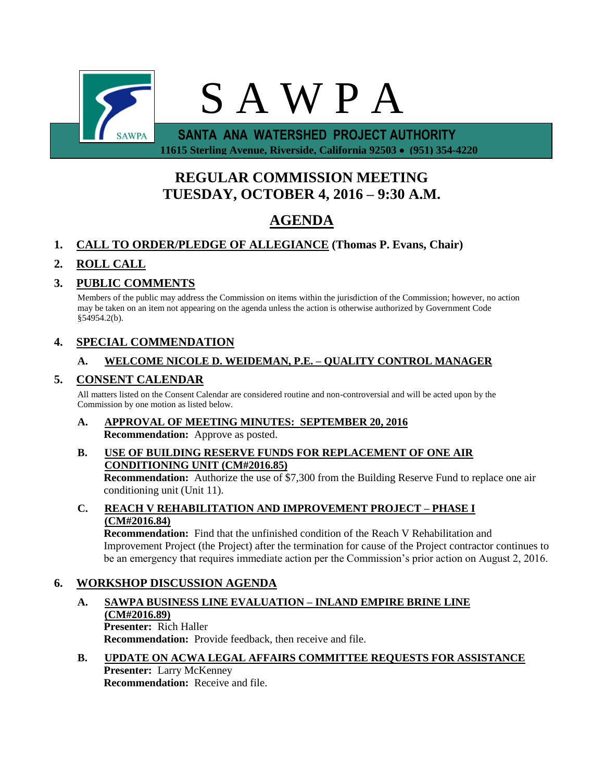

 **11615 Sterling Avenue, Riverside, California 92503 (951) 354-4220**

# **REGULAR COMMISSION MEETING TUESDAY, OCTOBER 4, 2016 – 9:30 A.M.**

# **AGENDA**

# **1. CALL TO ORDER/PLEDGE OF ALLEGIANCE (Thomas P. Evans, Chair)**

# **2. ROLL CALL**

# **3. PUBLIC COMMENTS**

Members of the public may address the Commission on items within the jurisdiction of the Commission; however, no action may be taken on an item not appearing on the agenda unless the action is otherwise authorized by Government Code §54954.2(b).

# **4. SPECIAL COMMENDATION**

### **A. WELCOME NICOLE D. WEIDEMAN, P.E. – QUALITY CONTROL MANAGER**

## **5. CONSENT CALENDAR**

All matters listed on the Consent Calendar are considered routine and non-controversial and will be acted upon by the Commission by one motion as listed below.

- **A. APPROVAL OF MEETING MINUTES: SEPTEMBER 20, 2016 Recommendation:** Approve as posted.
- **B. USE OF BUILDING RESERVE FUNDS FOR REPLACEMENT OF ONE AIR CONDITIONING UNIT (CM#2016.85)**

**Recommendation:** Authorize the use of \$7,300 from the Building Reserve Fund to replace one air conditioning unit (Unit 11).

**C. REACH V REHABILITATION AND IMPROVEMENT PROJECT – PHASE I (CM#2016.84)**

**Recommendation:** Find that the unfinished condition of the Reach V Rehabilitation and Improvement Project (the Project) after the termination for cause of the Project contractor continues to be an emergency that requires immediate action per the Commission's prior action on August 2, 2016.

### **6. WORKSHOP DISCUSSION AGENDA**

- **A. SAWPA BUSINESS LINE EVALUATION – INLAND EMPIRE BRINE LINE (CM#2016.89) Presenter:** Rich Haller **Recommendation:** Provide feedback, then receive and file.
- **B. UPDATE ON ACWA LEGAL AFFAIRS COMMITTEE REQUESTS FOR ASSISTANCE Presenter:** Larry McKenney **Recommendation:** Receive and file.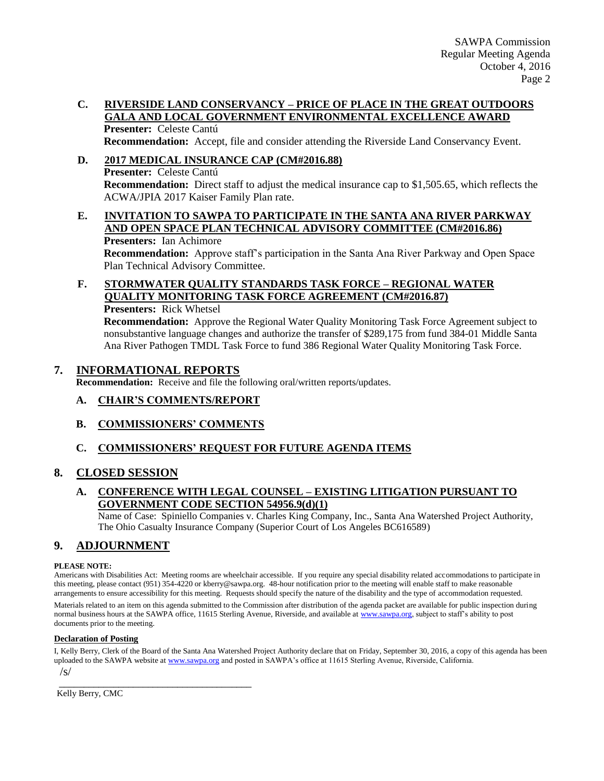#### **C. RIVERSIDE LAND CONSERVANCY – PRICE OF PLACE IN THE GREAT OUTDOORS GALA AND LOCAL GOVERNMENT ENVIRONMENTAL EXCELLENCE AWARD Presenter:** Celeste Cantú

**Recommendation:** Accept, file and consider attending the Riverside Land Conservancy Event.

#### **D. 2017 MEDICAL INSURANCE CAP (CM#2016.88) Presenter:** Celeste Cantú **Recommendation:** Direct staff to adjust the medical insurance cap to \$1,505.65, which reflects the ACWA/JPIA 2017 Kaiser Family Plan rate.

#### **E. INVITATION TO SAWPA TO PARTICIPATE IN THE SANTA ANA RIVER PARKWAY AND OPEN SPACE PLAN TECHNICAL ADVISORY COMMITTEE (CM#2016.86) Presenters:** Ian Achimore

**Recommendation:** Approve staff's participation in the Santa Ana River Parkway and Open Space Plan Technical Advisory Committee.

#### **F. STORMWATER QUALITY STANDARDS TASK FORCE – REGIONAL WATER QUALITY MONITORING TASK FORCE AGREEMENT (CM#2016.87) Presenters:** Rick Whetsel

**Recommendation:** Approve the Regional Water Quality Monitoring Task Force Agreement subject to nonsubstantive language changes and authorize the transfer of \$289,175 from fund 384-01 Middle Santa Ana River Pathogen TMDL Task Force to fund 386 Regional Water Quality Monitoring Task Force.

### **7. INFORMATIONAL REPORTS**

**Recommendation:** Receive and file the following oral/written reports/updates.

### **A. CHAIR'S COMMENTS/REPORT**

### **B. COMMISSIONERS' COMMENTS**

### **C. COMMISSIONERS' REQUEST FOR FUTURE AGENDA ITEMS**

### **8. CLOSED SESSION**

#### **A. CONFERENCE WITH LEGAL COUNSEL – EXISTING LITIGATION PURSUANT TO GOVERNMENT CODE SECTION 54956.9(d)(1)**

Name of Case: Spiniello Companies v. Charles King Company, Inc., Santa Ana Watershed Project Authority, The Ohio Casualty Insurance Company (Superior Court of Los Angeles BC616589)

### **9. ADJOURNMENT**

#### **PLEASE NOTE:**

Americans with Disabilities Act: Meeting rooms are wheelchair accessible. If you require any special disability related accommodations to participate in this meeting, please contact (951) 354-4220 or kberry@sawpa.org. 48-hour notification prior to the meeting will enable staff to make reasonable arrangements to ensure accessibility for this meeting. Requests should specify the nature of the disability and the type of accommodation requested.

Materials related to an item on this agenda submitted to the Commission after distribution of the agenda packet are available for public inspection during normal business hours at the SAWPA office, 11615 Sterling Avenue, Riverside, and available a[t www.sawpa.org,](http://www.sawpa.org/) subject to staff's ability to post documents prior to the meeting.

#### **Declaration of Posting**

\_\_\_\_\_\_\_\_\_\_\_\_\_\_\_\_\_\_\_\_\_\_\_\_\_\_\_\_\_\_\_\_\_\_\_\_\_\_\_

I, Kelly Berry, Clerk of the Board of the Santa Ana Watershed Project Authority declare that on Friday, September 30, 2016, a copy of this agenda has been uploaded to the SAWPA website a[t www.sawpa.org](http://www.sawpa.org/) and posted in SAWPA's office at 11615 Sterling Avenue, Riverside, California. /s/

Kelly Berry, CMC